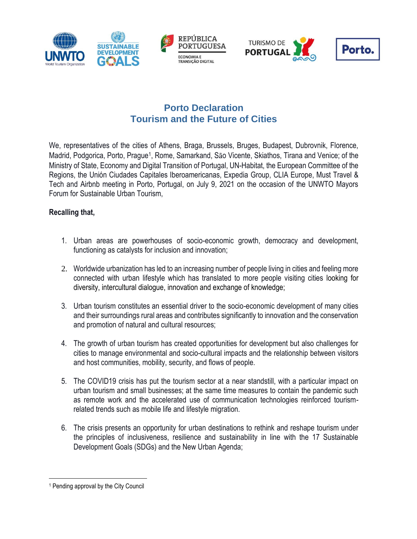





## **Porto Declaration Tourism and the Future of Cities**

We, representatives of the cities of Athens, Braga, Brussels, Bruges, Budapest, Dubrovnik, Florence, Madrid, Podgorica, Porto, Prague<sup>1</sup>, Rome, Samarkand, São Vicente, Skiathos, Tirana and Venice; of the Ministry of State, Economy and Digital Transition of Portugal, UN-Habitat, the European Committee of the Regions, the Unión Ciudades Capitales Iberoamericanas, Expedia Group, CLIA Europe, Must Travel & Tech and Airbnb meeting in Porto, Portugal, on July 9, 2021 on the occasion of the UNWTO Mayors Forum for Sustainable Urban Tourism,

## **Recalling that,**

- 1. Urban areas are powerhouses of socio-economic growth, democracy and development, functioning as catalysts for inclusion and innovation;
- 2. Worldwide urbanization has led to an increasing number of people living in cities and feeling more connected with urban lifestyle which has translated to more people visiting cities looking for diversity, intercultural dialogue, innovation and exchange of knowledge;
- 3. Urban tourism constitutes an essential driver to the socio-economic development of many cities and their surroundings rural areas and contributes significantly to innovation and the conservation and promotion of natural and cultural resources;
- 4. The growth of urban tourism has created opportunities for development but also challenges for cities to manage environmental and socio-cultural impacts and the relationship between visitors and host communities, mobility, security, and flows of people.
- 5. The COVID19 crisis has put the tourism sector at a near standstill, with a particular impact on urban tourism and small businesses; at the same time measures to contain the pandemic such as remote work and the accelerated use of communication technologies reinforced tourismrelated trends such as mobile life and lifestyle migration.
- 6. The crisis presents an opportunity for urban destinations to rethink and reshape tourism under the principles of inclusiveness, resilience and sustainability in line with the 17 Sustainable Development Goals (SDGs) and the New Urban Agenda;

<sup>1</sup> Pending approval by the City Council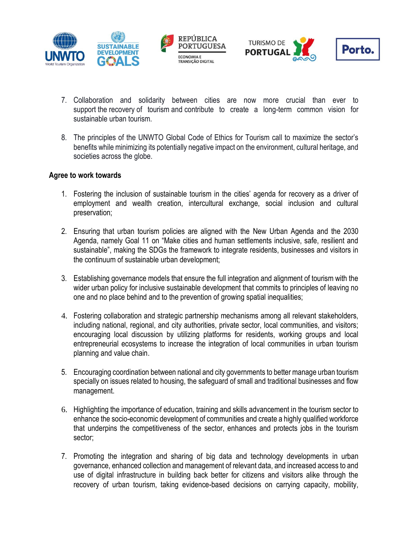





- 7. Collaboration and solidarity between cities are now more crucial than ever to support the recovery of tourism and contribute to create a long-term common vision for sustainable urban tourism.
- 8. The principles of the UNWTO Global Code of Ethics for Tourism call to maximize the sector's benefits while minimizing its potentially negative impact on the environment, cultural heritage, and societies across the globe.

## **Agree to work towards**

- 1. Fostering the inclusion of sustainable tourism in the cities' agenda for recovery as a driver of employment and wealth creation, intercultural exchange, social inclusion and cultural preservation;
- 2. Ensuring that urban tourism policies are aligned with the New Urban Agenda and the 2030 Agenda, namely Goal 11 on "Make cities and human settlements inclusive, safe, resilient and sustainable", making the SDGs the framework to integrate residents, businesses and visitors in the continuum of sustainable urban development;
- 3. Establishing governance models that ensure the full integration and alignment of tourism with the wider urban policy for inclusive sustainable development that commits to principles of leaving no one and no place behind and to the prevention of growing spatial inequalities;
- 4. Fostering collaboration and strategic partnership mechanisms among all relevant stakeholders, including national, regional, and city authorities, private sector, local communities, and visitors; encouraging local discussion by utilizing platforms for residents, working groups and local entrepreneurial ecosystems to increase the integration of local communities in urban tourism planning and value chain.
- 5. Encouraging coordination between national and city governments to better manage urban tourism specially on issues related to housing, the safeguard of small and traditional businesses and flow management.
- 6. Highlighting the importance of education, training and skills advancement in the tourism sector to enhance the socio-economic development of communities and create a highly qualified workforce that underpins the competitiveness of the sector, enhances and protects jobs in the tourism sector;
- 7. Promoting the integration and sharing of big data and technology developments in urban governance, enhanced collection and management of relevant data, and increased access to and use of digital infrastructure in building back better for citizens and visitors alike through the recovery of urban tourism, taking evidence-based decisions on carrying capacity, mobility,